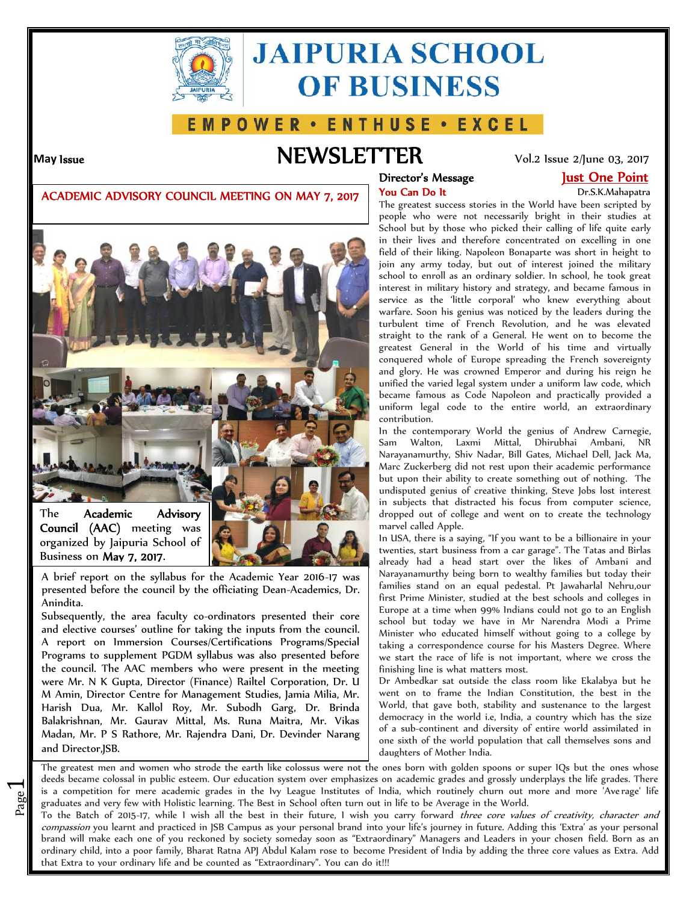

# **JAIPURIA SCHOOL OF BUSINESS**

## E M P O W E R · E N T H U S E · E X C E L

 $\overline{\phantom{0}}$ 

# **May Issue NEWSLETTER** Vol.2 Issue 2/June 03, 2017

### **Director's Message Just One Point**

### **ACADEMIC ADVISORY COUNCIL MEETING ON MAY 7, 2017**



A brief report on the syllabus for the Academic Year 2016-17 was presented before the council by the officiating Dean-Academics, Dr. Anindita.

Subsequently, the area faculty co-ordinators presented their core and elective courses' outline for taking the inputs from the council. A report on Immersion Courses/Certifications Programs/Special Programs to supplement PGDM syllabus was also presented before the council. The AAC members who were present in the meeting were Mr. N K Gupta, Director (Finance) Railtel Corporation, Dr. U M Amin, Director Centre for Management Studies, Jamia Milia, Mr. Harish Dua, Mr. Kallol Roy, Mr. Subodh Garg, Dr. Brinda Balakrishnan, Mr. Gaurav Mittal, Ms. Runa Maitra, Mr. Vikas Madan, Mr. P S Rathore, Mr. Rajendra Dani, Dr. Devinder Narang and Director,JSB.

# Dr.S.K.Mahapatra

The greatest success stories in the World have been scripted by people who were not necessarily bright in their studies at School but by those who picked their calling of life quite early in their lives and therefore concentrated on excelling in one field of their liking. Napoleon Bonaparte was short in height to join any army today, but out of interest joined the military school to enroll as an ordinary soldier. In school, he took great interest in military history and strategy, and became famous in service as the 'little corporal' who knew everything about warfare. Soon his genius was noticed by the leaders during the turbulent time of French Revolution, and he was elevated straight to the rank of a General. He went on to become the greatest General in the World of his time and virtually conquered whole of Europe spreading the French sovereignty and glory. He was crowned Emperor and during his reign he unified the varied legal system under a uniform law code, which became famous as Code Napoleon and practically provided a uniform legal code to the entire world, an extraordinary contribution.

In the contemporary World the genius of Andrew Carnegie, Sam Walton, Laxmi Mittal, Dhirubhai Ambani, NR Narayanamurthy, Shiv Nadar, Bill Gates, Michael Dell, Jack Ma, Marc Zuckerberg did not rest upon their academic performance but upon their ability to create something out of nothing. The undisputed genius of creative thinking, Steve Jobs lost interest in subjects that distracted his focus from computer science, dropped out of college and went on to create the technology marvel called Apple.

In USA, there is a saying, "If you want to be a billionaire in your twenties, start business from a car garage". The Tatas and Birlas already had a head start over the likes of Ambani and Narayanamurthy being born to wealthy families but today their families stand on an equal pedestal. Pt Jawaharlal Nehru,our first Prime Minister, studied at the best schools and colleges in Europe at a time when 99% Indians could not go to an English school but today we have in Mr Narendra Modi a Prime Minister who educated himself without going to a college by taking a correspondence course for his Masters Degree. Where we start the race of life is not important, where we cross the finishing line is what matters most.

Dr Ambedkar sat outside the class room like Ekalabya but he went on to frame the Indian Constitution, the best in the World, that gave both, stability and sustenance to the largest democracy in the world i.e, India, a country which has the size of a sub-continent and diversity of entire world assimilated in one sixth of the world population that call themselves sons and daughters of Mother India.

page institutes of mola, which fourthey charn out mold<br>graduates and very few with Holistic learning. The Best in School often turn out in life to be Average in the World.<br>To the Batch of 2015 17, while I with all the best is a competition for mere academic grades in the Ivy League Institutes of India, which routinely churn out more and more 'Average' life The greatest men and women who strode the earth like colossus were not the ones born with golden spoons or super IQs but the ones whose deeds became colossal in public esteem. Our education system over emphasizes on academic grades and grossly underplays the life grades. There

To the Batch of 2015-17, while I wish all the best in their future, I wish you carry forward *three core values of creativity, character and compassion* you learnt and practiced in JSB Campus as your personal brand into your life's journey in future. Adding this 'Extra' as your personal brand will make each one of you reckoned by society someday soon as "Extraordinary" Managers and Leaders in your chosen field. Born as an ordinary child, into a poor family, Bharat Ratna APJ Abdul Kalam rose to become President of India by adding the three core values as Extra. Add that Extra to your ordinary life and be counted as "Extraordinary". You can do it!!!